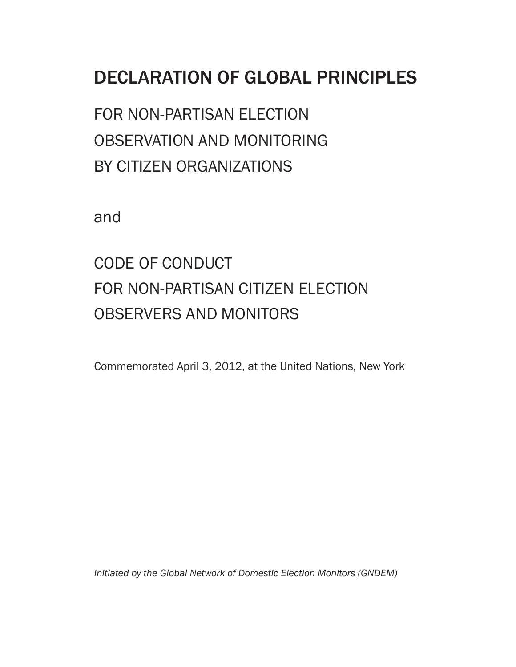# DECLARATION OF GLOBAL PRINCIPLES

# FOR NON-PARTISAN ELECTION OBSERVATION AND MONITORING BY CITIZEN ORGANIZATIONS

and

# CODE OF CONDUCT FOR NON-PARTISAN CITIZEN ELECTION OBSERVERS AND MONITORS

Commemorated April 3, 2012, at the United Nations, New York

*Initiated by the Global Network of Domestic Election Monitors (GNDEM)*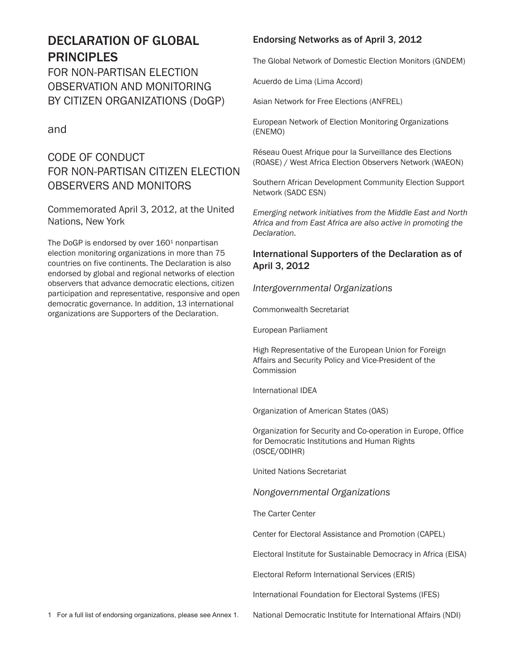# DECLARATION OF GLOBAL PRINCIPLES

FOR NON-PARTISAN ELECTION OBSERVATION AND MONITORING BY CITIZEN ORGANIZATIONS (DoGP)

and

# CODE OF CONDUCT FOR NON-PARTISAN CITIZEN ELECTION OBSERVERS AND MONITORS

Commemorated April 3, 2012, at the United Nations, New York

The DoGP is endorsed by over 160<sup>1</sup> nonpartisan election monitoring organizations in more than 75 countries on five continents. The Declaration is also endorsed by global and regional networks of election observers that advance democratic elections, citizen participation and representative, responsive and open democratic governance. In addition, 13 international organizations are Supporters of the Declaration.

# Endorsing Networks as of April 3, 2012

The Global Network of Domestic Election Monitors (GNDEM)

Acuerdo de Lima (Lima Accord)

Asian Network for Free Elections (ANFREL)

European Network of Election Monitoring Organizations (ENEMO)

Réseau Ouest Afrique pour la Surveillance des Elections (ROASE) / West Africa Election Observers Network (WAEON)

Southern African Development Community Election Support Network (SADC ESN)

*Emerging network initiatives from the Middle East and North Africa and from East Africa are also active in promoting the Declaration.*

# International Supporters of the Declaration as of April 3, 2012

*Intergovernmental Organizations*

Commonwealth Secretariat

European Parliament

High Representative of the European Union for Foreign Affairs and Security Policy and Vice-President of the Commission

International IDEA

Organization of American States (OAS)

Organization for Security and Co-operation in Europe, Office for Democratic Institutions and Human Rights (OSCE/ODIHR)

United Nations Secretariat

*Nongovernmental Organizations*

The Carter Center

Center for Electoral Assistance and Promotion (CAPEL)

Electoral Institute for Sustainable Democracy in Africa (EISA)

Electoral Reform International Services (ERIS)

International Foundation for Electoral Systems (IFES)

1 For a full list of endorsing organizations, please see Annex 1.

National Democratic Institute for International Affairs (NDI)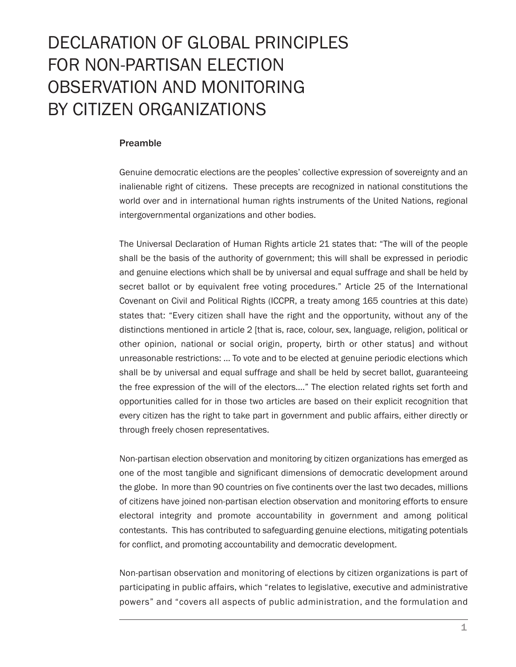# DECLARATION OF GLOBAL PRINCIPLES FOR NON-PARTISAN ELECTION OBSERVATION AND MONITORING BY CITIZEN ORGANIZATIONS

#### Preamble

Genuine democratic elections are the peoples' collective expression of sovereignty and an inalienable right of citizens. These precepts are recognized in national constitutions the world over and in international human rights instruments of the United Nations, regional intergovernmental organizations and other bodies.

The Universal Declaration of Human Rights article 21 states that: "The will of the people shall be the basis of the authority of government; this will shall be expressed in periodic and genuine elections which shall be by universal and equal suffrage and shall be held by secret ballot or by equivalent free voting procedures." Article 25 of the International Covenant on Civil and Political Rights (ICCPR, a treaty among 165 countries at this date) states that: "Every citizen shall have the right and the opportunity, without any of the distinctions mentioned in article 2 [that is, race, colour, sex, language, religion, political or other opinion, national or social origin, property, birth or other status] and without unreasonable restrictions: … To vote and to be elected at genuine periodic elections which shall be by universal and equal suffrage and shall be held by secret ballot, guaranteeing the free expression of the will of the electors…." The election related rights set forth and opportunities called for in those two articles are based on their explicit recognition that every citizen has the right to take part in government and public affairs, either directly or through freely chosen representatives.

Non-partisan election observation and monitoring by citizen organizations has emerged as one of the most tangible and significant dimensions of democratic development around the globe. In more than 90 countries on five continents over the last two decades, millions of citizens have joined non-partisan election observation and monitoring efforts to ensure electoral integrity and promote accountability in government and among political contestants. This has contributed to safeguarding genuine elections, mitigating potentials for conflict, and promoting accountability and democratic development.

Non-partisan observation and monitoring of elections by citizen organizations is part of participating in public affairs, which "relates to legislative, executive and administrative powers" and "covers all aspects of public administration, and the formulation and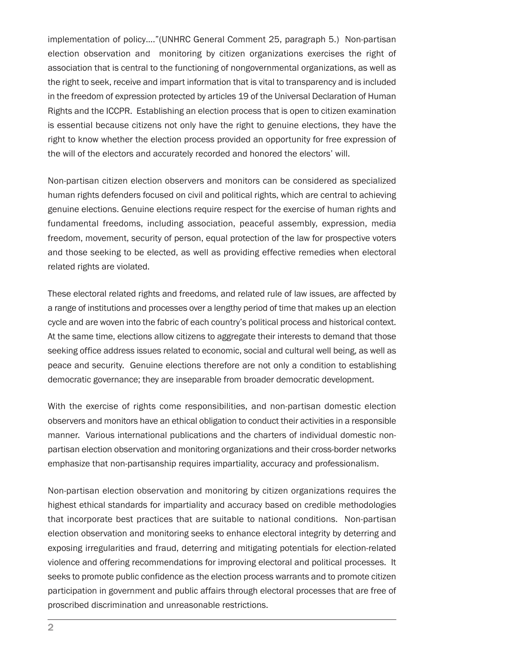implementation of policy…."(UNHRC General Comment 25, paragraph 5.) Non-partisan election observation and monitoring by citizen organizations exercises the right of association that is central to the functioning of nongovernmental organizations, as well as the right to seek, receive and impart information that is vital to transparency and is included in the freedom of expression protected by articles 19 of the Universal Declaration of Human Rights and the ICCPR. Establishing an election process that is open to citizen examination is essential because citizens not only have the right to genuine elections, they have the right to know whether the election process provided an opportunity for free expression of the will of the electors and accurately recorded and honored the electors' will.

Non-partisan citizen election observers and monitors can be considered as specialized human rights defenders focused on civil and political rights, which are central to achieving genuine elections. Genuine elections require respect for the exercise of human rights and fundamental freedoms, including association, peaceful assembly, expression, media freedom, movement, security of person, equal protection of the law for prospective voters and those seeking to be elected, as well as providing effective remedies when electoral related rights are violated.

These electoral related rights and freedoms, and related rule of law issues, are affected by a range of institutions and processes over a lengthy period of time that makes up an election cycle and are woven into the fabric of each country's political process and historical context. At the same time, elections allow citizens to aggregate their interests to demand that those seeking office address issues related to economic, social and cultural well being, as well as peace and security. Genuine elections therefore are not only a condition to establishing democratic governance; they are inseparable from broader democratic development.

With the exercise of rights come responsibilities, and non-partisan domestic election observers and monitors have an ethical obligation to conduct their activities in a responsible manner. Various international publications and the charters of individual domestic nonpartisan election observation and monitoring organizations and their cross-border networks emphasize that non-partisanship requires impartiality, accuracy and professionalism.

Non-partisan election observation and monitoring by citizen organizations requires the highest ethical standards for impartiality and accuracy based on credible methodologies that incorporate best practices that are suitable to national conditions. Non-partisan election observation and monitoring seeks to enhance electoral integrity by deterring and exposing irregularities and fraud, deterring and mitigating potentials for election-related violence and offering recommendations for improving electoral and political processes. It seeks to promote public confidence as the election process warrants and to promote citizen participation in government and public affairs through electoral processes that are free of proscribed discrimination and unreasonable restrictions.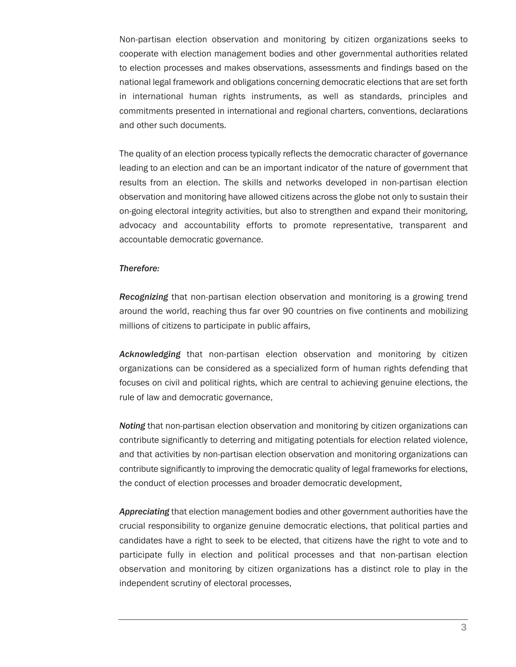Non-partisan election observation and monitoring by citizen organizations seeks to cooperate with election management bodies and other governmental authorities related to election processes and makes observations, assessments and findings based on the national legal framework and obligations concerning democratic elections that are set forth in international human rights instruments, as well as standards, principles and commitments presented in international and regional charters, conventions, declarations and other such documents.

The quality of an election process typically reflects the democratic character of governance leading to an election and can be an important indicator of the nature of government that results from an election. The skills and networks developed in non-partisan election observation and monitoring have allowed citizens across the globe not only to sustain their on-going electoral integrity activities, but also to strengthen and expand their monitoring, advocacy and accountability efforts to promote representative, transparent and accountable democratic governance.

#### *Therefore:*

*Recognizing* that non-partisan election observation and monitoring is a growing trend around the world, reaching thus far over 90 countries on five continents and mobilizing millions of citizens to participate in public affairs,

*Acknowledging* that non-partisan election observation and monitoring by citizen organizations can be considered as a specialized form of human rights defending that focuses on civil and political rights, which are central to achieving genuine elections, the rule of law and democratic governance,

*Noting* that non-partisan election observation and monitoring by citizen organizations can contribute significantly to deterring and mitigating potentials for election related violence, and that activities by non-partisan election observation and monitoring organizations can contribute significantly to improving the democratic quality of legal frameworks for elections, the conduct of election processes and broader democratic development,

*Appreciating* that election management bodies and other government authorities have the crucial responsibility to organize genuine democratic elections, that political parties and candidates have a right to seek to be elected, that citizens have the right to vote and to participate fully in election and political processes and that non-partisan election observation and monitoring by citizen organizations has a distinct role to play in the independent scrutiny of electoral processes,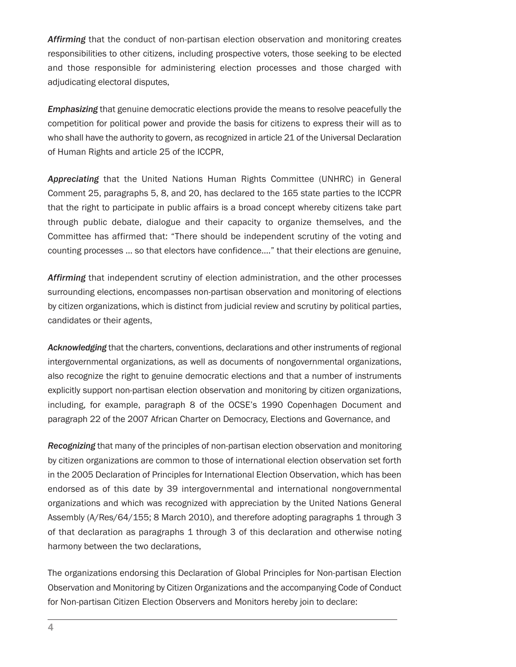*Affirming* that the conduct of non-partisan election observation and monitoring creates responsibilities to other citizens, including prospective voters, those seeking to be elected and those responsible for administering election processes and those charged with adjudicating electoral disputes,

*Emphasizing* that genuine democratic elections provide the means to resolve peacefully the competition for political power and provide the basis for citizens to express their will as to who shall have the authority to govern, as recognized in article 21 of the Universal Declaration of Human Rights and article 25 of the ICCPR,

*Appreciating* that the United Nations Human Rights Committee (UNHRC) in General Comment 25, paragraphs 5, 8, and 20, has declared to the 165 state parties to the ICCPR that the right to participate in public affairs is a broad concept whereby citizens take part through public debate, dialogue and their capacity to organize themselves, and the Committee has affirmed that: "There should be independent scrutiny of the voting and counting processes … so that electors have confidence…." that their elections are genuine,

*Affirming* that independent scrutiny of election administration, and the other processes surrounding elections, encompasses non-partisan observation and monitoring of elections by citizen organizations, which is distinct from judicial review and scrutiny by political parties, candidates or their agents,

*Acknowledging* that the charters, conventions, declarations and other instruments of regional intergovernmental organizations, as well as documents of nongovernmental organizations, also recognize the right to genuine democratic elections and that a number of instruments explicitly support non-partisan election observation and monitoring by citizen organizations, including, for example, paragraph 8 of the OCSE's 1990 Copenhagen Document and paragraph 22 of the 2007 African Charter on Democracy, Elections and Governance, and

*Recognizing* that many of the principles of non-partisan election observation and monitoring by citizen organizations are common to those of international election observation set forth in the 2005 Declaration of Principles for International Election Observation, which has been endorsed as of this date by 39 intergovernmental and international nongovernmental organizations and which was recognized with appreciation by the United Nations General Assembly (A/Res/64/155; 8 March 2010), and therefore adopting paragraphs 1 through 3 of that declaration as paragraphs 1 through 3 of this declaration and otherwise noting harmony between the two declarations,

The organizations endorsing this Declaration of Global Principles for Non-partisan Election Observation and Monitoring by Citizen Organizations and the accompanying Code of Conduct for Non-partisan Citizen Election Observers and Monitors hereby join to declare: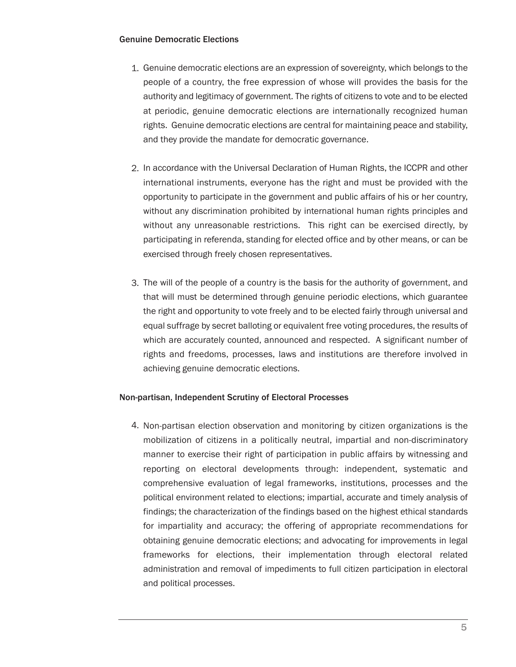# Genuine Democratic Elections

- 1. Genuine democratic elections are an expression of sovereignty, which belongs to the people of a country, the free expression of whose will provides the basis for the authority and legitimacy of government. The rights of citizens to vote and to be elected at periodic, genuine democratic elections are internationally recognized human rights. Genuine democratic elections are central for maintaining peace and stability, and they provide the mandate for democratic governance.
- 2. In accordance with the Universal Declaration of Human Rights, the ICCPR and other international instruments, everyone has the right and must be provided with the opportunity to participate in the government and public affairs of his or her country, without any discrimination prohibited by international human rights principles and without any unreasonable restrictions. This right can be exercised directly, by participating in referenda, standing for elected office and by other means, or can be exercised through freely chosen representatives.
- 3. The will of the people of a country is the basis for the authority of government, and that will must be determined through genuine periodic elections, which guarantee the right and opportunity to vote freely and to be elected fairly through universal and equal suffrage by secret balloting or equivalent free voting procedures, the results of which are accurately counted, announced and respected. A significant number of rights and freedoms, processes, laws and institutions are therefore involved in achieving genuine democratic elections.

#### Non-partisan, Independent Scrutiny of Electoral Processes

4. Non-partisan election observation and monitoring by citizen organizations is the mobilization of citizens in a politically neutral, impartial and non-discriminatory manner to exercise their right of participation in public affairs by witnessing and reporting on electoral developments through: independent, systematic and comprehensive evaluation of legal frameworks, institutions, processes and the political environment related to elections; impartial, accurate and timely analysis of findings; the characterization of the findings based on the highest ethical standards for impartiality and accuracy; the offering of appropriate recommendations for obtaining genuine democratic elections; and advocating for improvements in legal frameworks for elections, their implementation through electoral related administration and removal of impediments to full citizen participation in electoral and political processes.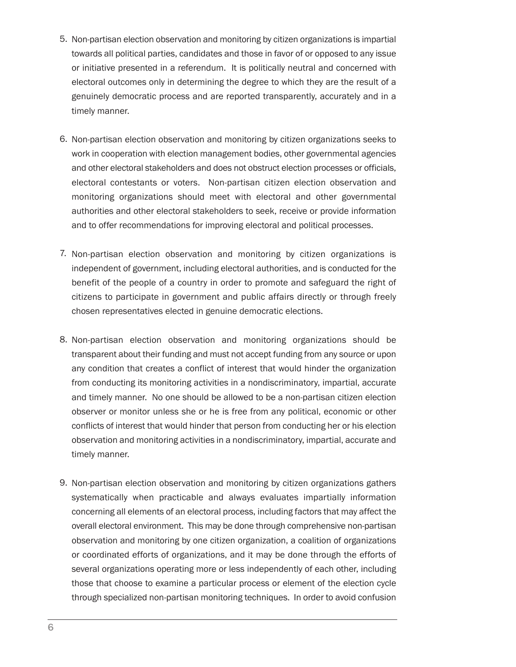- 5. Non-partisan election observation and monitoring by citizen organizations is impartial towards all political parties, candidates and those in favor of or opposed to any issue or initiative presented in a referendum. It is politically neutral and concerned with electoral outcomes only in determining the degree to which they are the result of a genuinely democratic process and are reported transparently, accurately and in a timely manner.
- 6. Non-partisan election observation and monitoring by citizen organizations seeks to work in cooperation with election management bodies, other governmental agencies and other electoral stakeholders and does not obstruct election processes or officials, electoral contestants or voters. Non-partisan citizen election observation and monitoring organizations should meet with electoral and other governmental authorities and other electoral stakeholders to seek, receive or provide information and to offer recommendations for improving electoral and political processes.
- 7. Non-partisan election observation and monitoring by citizen organizations is independent of government, including electoral authorities, and is conducted for the benefit of the people of a country in order to promote and safeguard the right of citizens to participate in government and public affairs directly or through freely chosen representatives elected in genuine democratic elections.
- 8. Non-partisan election observation and monitoring organizations should be transparent about their funding and must not accept funding from any source or upon any condition that creates a conflict of interest that would hinder the organization from conducting its monitoring activities in a nondiscriminatory, impartial, accurate and timely manner. No one should be allowed to be a non-partisan citizen election observer or monitor unless she or he is free from any political, economic or other conflicts of interest that would hinder that person from conducting her or his election observation and monitoring activities in a nondiscriminatory, impartial, accurate and timely manner.
- 9. Non-partisan election observation and monitoring by citizen organizations gathers systematically when practicable and always evaluates impartially information concerning all elements of an electoral process, including factors that may affect the overall electoral environment. This may be done through comprehensive non-partisan observation and monitoring by one citizen organization, a coalition of organizations or coordinated efforts of organizations, and it may be done through the efforts of several organizations operating more or less independently of each other, including those that choose to examine a particular process or element of the election cycle through specialized non-partisan monitoring techniques. In order to avoid confusion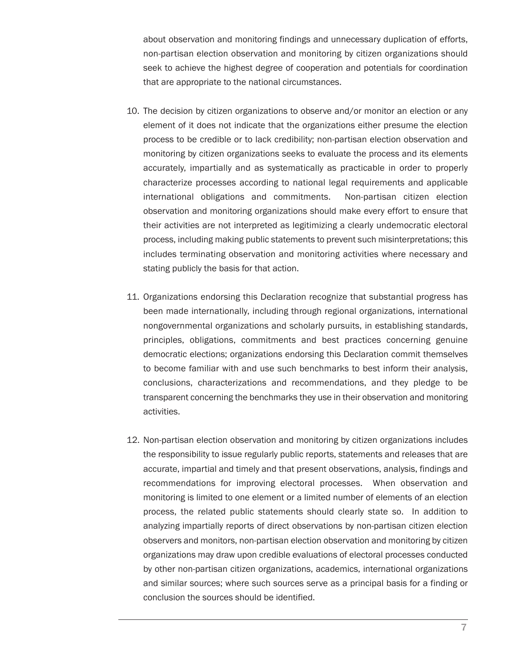about observation and monitoring findings and unnecessary duplication of efforts, non-partisan election observation and monitoring by citizen organizations should seek to achieve the highest degree of cooperation and potentials for coordination that are appropriate to the national circumstances.

- 10. The decision by citizen organizations to observe and/or monitor an election or any element of it does not indicate that the organizations either presume the election process to be credible or to lack credibility; non-partisan election observation and monitoring by citizen organizations seeks to evaluate the process and its elements accurately, impartially and as systematically as practicable in order to properly characterize processes according to national legal requirements and applicable international obligations and commitments. Non-partisan citizen election observation and monitoring organizations should make every effort to ensure that their activities are not interpreted as legitimizing a clearly undemocratic electoral process, including making public statements to prevent such misinterpretations; this includes terminating observation and monitoring activities where necessary and stating publicly the basis for that action.
- 11. Organizations endorsing this Declaration recognize that substantial progress has been made internationally, including through regional organizations, international nongovernmental organizations and scholarly pursuits, in establishing standards, principles, obligations, commitments and best practices concerning genuine democratic elections; organizations endorsing this Declaration commit themselves to become familiar with and use such benchmarks to best inform their analysis, conclusions, characterizations and recommendations, and they pledge to be transparent concerning the benchmarks they use in their observation and monitoring activities.
- 12. Non-partisan election observation and monitoring by citizen organizations includes the responsibility to issue regularly public reports, statements and releases that are accurate, impartial and timely and that present observations, analysis, findings and recommendations for improving electoral processes. When observation and monitoring is limited to one element or a limited number of elements of an election process, the related public statements should clearly state so. In addition to analyzing impartially reports of direct observations by non-partisan citizen election observers and monitors, non-partisan election observation and monitoring by citizen organizations may draw upon credible evaluations of electoral processes conducted by other non-partisan citizen organizations, academics, international organizations and similar sources; where such sources serve as a principal basis for a finding or conclusion the sources should be identified.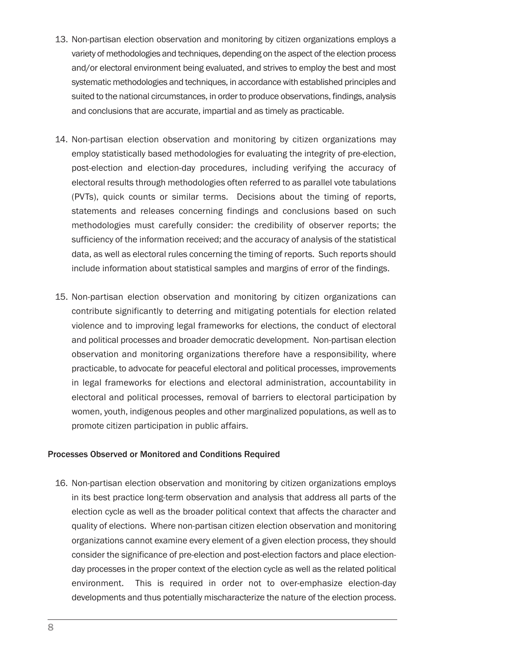- 13. Non-partisan election observation and monitoring by citizen organizations employs a variety of methodologies and techniques, depending on the aspect of the election process and/or electoral environment being evaluated, and strives to employ the best and most systematic methodologies and techniques, in accordance with established principles and suited to the national circumstances, in order to produce observations, findings, analysis and conclusions that are accurate, impartial and as timely as practicable.
- 14. Non-partisan election observation and monitoring by citizen organizations may employ statistically based methodologies for evaluating the integrity of pre-election, post-election and election-day procedures, including verifying the accuracy of electoral results through methodologies often referred to as parallel vote tabulations (PVTs), quick counts or similar terms. Decisions about the timing of reports, statements and releases concerning findings and conclusions based on such methodologies must carefully consider: the credibility of observer reports; the sufficiency of the information received; and the accuracy of analysis of the statistical data, as well as electoral rules concerning the timing of reports. Such reports should include information about statistical samples and margins of error of the findings.
- 15. Non-partisan election observation and monitoring by citizen organizations can contribute significantly to deterring and mitigating potentials for election related violence and to improving legal frameworks for elections, the conduct of electoral and political processes and broader democratic development. Non-partisan election observation and monitoring organizations therefore have a responsibility, where practicable, to advocate for peaceful electoral and political processes, improvements in legal frameworks for elections and electoral administration, accountability in electoral and political processes, removal of barriers to electoral participation by women, youth, indigenous peoples and other marginalized populations, as well as to promote citizen participation in public affairs.

#### Processes Observed or Monitored and Conditions Required

16. Non-partisan election observation and monitoring by citizen organizations employs in its best practice long-term observation and analysis that address all parts of the election cycle as well as the broader political context that affects the character and quality of elections. Where non-partisan citizen election observation and monitoring organizations cannot examine every element of a given election process, they should consider the significance of pre-election and post-election factors and place electionday processes in the proper context of the election cycle as well as the related political environment. This is required in order not to over-emphasize election-day developments and thus potentially mischaracterize the nature of the election process.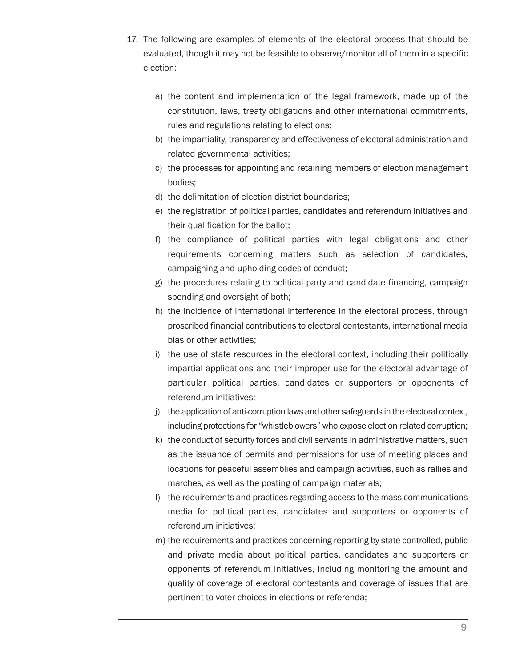- 17. The following are examples of elements of the electoral process that should be evaluated, though it may not be feasible to observe/monitor all of them in a specific election:
	- a) the content and implementation of the legal framework, made up of the constitution, laws, treaty obligations and other international commitments, rules and regulations relating to elections;
	- b) the impartiality, transparency and effectiveness of electoral administration and related governmental activities;
	- c) the processes for appointing and retaining members of election management bodies;
	- d) the delimitation of election district boundaries;
	- e) the registration of political parties, candidates and referendum initiatives and their qualification for the ballot;
	- f) the compliance of political parties with legal obligations and other requirements concerning matters such as selection of candidates, campaigning and upholding codes of conduct;
	- g) the procedures relating to political party and candidate financing, campaign spending and oversight of both;
	- h) the incidence of international interference in the electoral process, through proscribed financial contributions to electoral contestants, international media bias or other activities;
	- i) the use of state resources in the electoral context, including their politically impartial applications and their improper use for the electoral advantage of particular political parties, candidates or supporters or opponents of referendum initiatives;
	- j) the application of anti-corruption laws and other safeguards in the electoral context, including protections for "whistleblowers" who expose election related corruption;
	- k) the conduct of security forces and civil servants in administrative matters, such as the issuance of permits and permissions for use of meeting places and locations for peaceful assemblies and campaign activities, such as rallies and marches, as well as the posting of campaign materials;
	- I) the requirements and practices regarding access to the mass communications media for political parties, candidates and supporters or opponents of referendum initiatives;
	- m) the requirements and practices concerning reporting by state controlled, public and private media about political parties, candidates and supporters or opponents of referendum initiatives, including monitoring the amount and quality of coverage of electoral contestants and coverage of issues that are pertinent to voter choices in elections or referenda;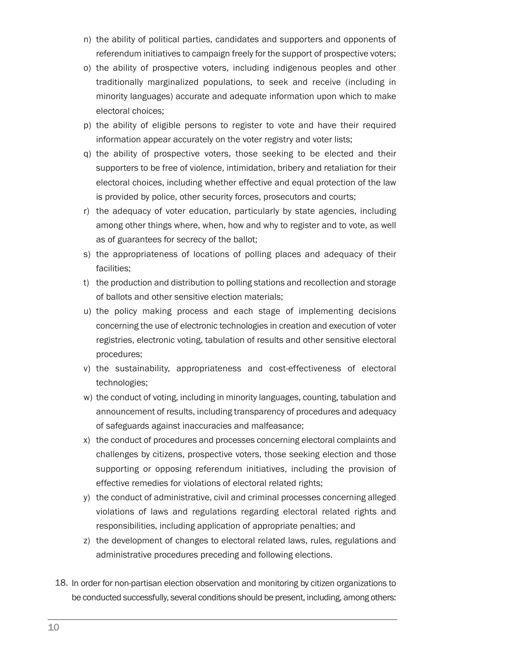- n) the ability of political parties, candidates and supporters and opponents of referendum initiatives to campaign freely for the support of prospective voters;
- o) the ability of prospective voters, including indigenous peoples and other traditionally marginalized populations, to seek and receive (including in minority languages) accurate and adequate information upon which to make electoral choices;
- p) the ability of eligible persons to register to vote and have their required information appear accurately on the voter registry and voter lists;
- q) the ability of prospective voters, those seeking to be elected and their supporters to be free of violence, intimidation, bribery and retaliation for their electoral choices, including whether effective and equal protection of the law is provided by police, other security forces, prosecutors and courts;
- r) the adequacy of voter education, particularly by state agencies, including among other things where, when, how and why to register and to vote, as well as of guarantees for secrecy of the ballot;
- s) the appropriateness of locations of polling places and adequacy of their facilities;
- t) the production and distribution to polling stations and recollection and storage of ballots and other sensitive election materials;
- u) the policy making process and each stage of implementing decisions concerning the use of electronic technologies in creation and execution of voter registries, electronic voting, tabulation of results and other sensitive electoral procedures;
- v) the sustainability, appropriateness and cost-effectiveness of electoral technologies;
- w) the conduct of voting, including in minority languages, counting, tabulation and announcement of results, including transparency of procedures and adequacy of safeguards against inaccuracies and malfeasance;
- x) the conduct of procedures and processes concerning electoral complaints and challenges by citizens, prospective voters, those seeking election and those supporting or opposing referendum initiatives, including the provision of effective remedies for violations of electoral related rights;
- y) the conduct of administrative, civil and criminal processes concerning alleged violations of laws and regulations regarding electoral related rights and responsibilities, including application of appropriate penalties; and
- z) the development of changes to electoral related laws, rules, regulations and administrative procedures preceding and following elections.
- 18. In order for non-partisan election observation and monitoring by citizen organizations to be conducted successfully, several conditions should be present, including, among others: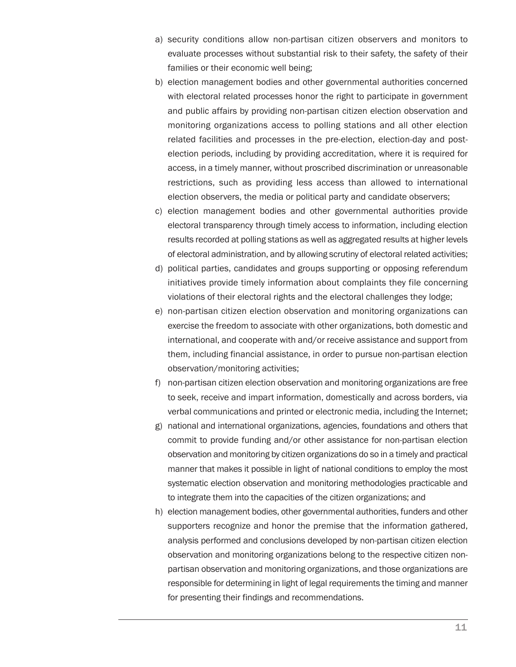- a) security conditions allow non-partisan citizen observers and monitors to evaluate processes without substantial risk to their safety, the safety of their families or their economic well being;
- b) election management bodies and other governmental authorities concerned with electoral related processes honor the right to participate in government and public affairs by providing non-partisan citizen election observation and monitoring organizations access to polling stations and all other election related facilities and processes in the pre-election, election-day and postelection periods, including by providing accreditation, where it is required for access, in a timely manner, without proscribed discrimination or unreasonable restrictions, such as providing less access than allowed to international election observers, the media or political party and candidate observers;
- c) election management bodies and other governmental authorities provide electoral transparency through timely access to information, including election results recorded at polling stations as well as aggregated results at higher levels of electoral administration, and by allowing scrutiny of electoral related activities;
- d) political parties, candidates and groups supporting or opposing referendum initiatives provide timely information about complaints they file concerning violations of their electoral rights and the electoral challenges they lodge;
- e) non-partisan citizen election observation and monitoring organizations can exercise the freedom to associate with other organizations, both domestic and international, and cooperate with and/or receive assistance and support from them, including financial assistance, in order to pursue non-partisan election observation/monitoring activities;
- f) non-partisan citizen election observation and monitoring organizations are free to seek, receive and impart information, domestically and across borders, via verbal communications and printed or electronic media, including the Internet;
- g) national and international organizations, agencies, foundations and others that commit to provide funding and/or other assistance for non-partisan election observation and monitoring by citizen organizations do so in a timely and practical manner that makes it possible in light of national conditions to employ the most systematic election observation and monitoring methodologies practicable and to integrate them into the capacities of the citizen organizations; and
- h) election management bodies, other governmental authorities, funders and other supporters recognize and honor the premise that the information gathered, analysis performed and conclusions developed by non-partisan citizen election observation and monitoring organizations belong to the respective citizen nonpartisan observation and monitoring organizations, and those organizations are responsible for determining in light of legal requirements the timing and manner for presenting their findings and recommendations.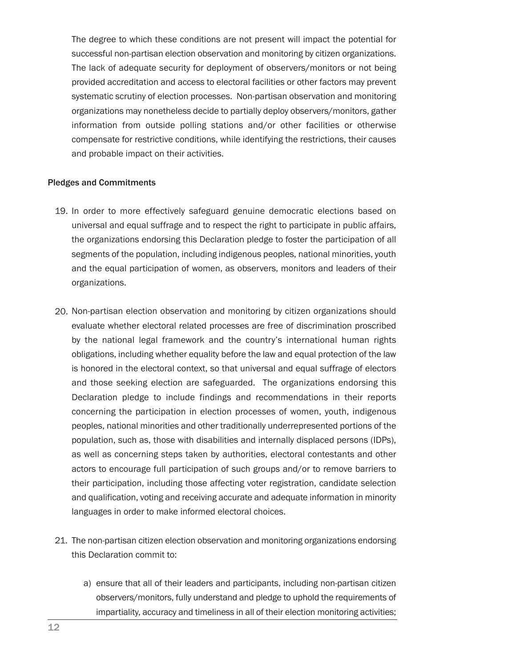The degree to which these conditions are not present will impact the potential for successful non-partisan election observation and monitoring by citizen organizations. The lack of adequate security for deployment of observers/monitors or not being provided accreditation and access to electoral facilities or other factors may prevent systematic scrutiny of election processes. Non-partisan observation and monitoring organizations may nonetheless decide to partially deploy observers/monitors, gather information from outside polling stations and/or other facilities or otherwise compensate for restrictive conditions, while identifying the restrictions, their causes and probable impact on their activities.

#### Pledges and Commitments

- 19. In order to more effectively safeguard genuine democratic elections based on universal and equal suffrage and to respect the right to participate in public affairs, the organizations endorsing this Declaration pledge to foster the participation of all segments of the population, including indigenous peoples, national minorities, youth and the equal participation of women, as observers, monitors and leaders of their organizations.
- 20. Non-partisan election observation and monitoring by citizen organizations should evaluate whether electoral related processes are free of discrimination proscribed by the national legal framework and the country's international human rights obligations, including whether equality before the law and equal protection of the law is honored in the electoral context, so that universal and equal suffrage of electors and those seeking election are safeguarded. The organizations endorsing this Declaration pledge to include findings and recommendations in their reports concerning the participation in election processes of women, youth, indigenous peoples, national minorities and other traditionally underrepresented portions of the population, such as, those with disabilities and internally displaced persons (IDPs), as well as concerning steps taken by authorities, electoral contestants and other actors to encourage full participation of such groups and/or to remove barriers to their participation, including those affecting voter registration, candidate selection and qualification, voting and receiving accurate and adequate information in minority languages in order to make informed electoral choices.
- 21. The non-partisan citizen election observation and monitoring organizations endorsing this Declaration commit to:
	- a) ensure that all of their leaders and participants, including non-partisan citizen observers/monitors, fully understand and pledge to uphold the requirements of impartiality, accuracy and timeliness in all of their election monitoring activities;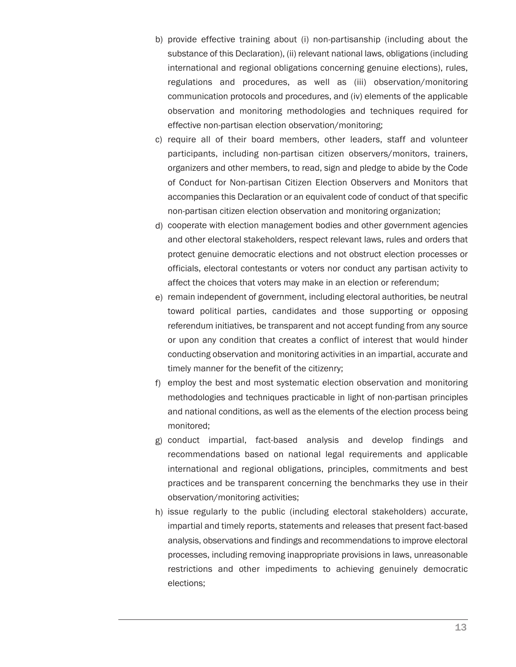- b) provide effective training about (i) non-partisanship (including about the substance of this Declaration), (ii) relevant national laws, obligations (including international and regional obligations concerning genuine elections), rules, regulations and procedures, as well as (iii) observation/monitoring communication protocols and procedures, and (iv) elements of the applicable observation and monitoring methodologies and techniques required for effective non-partisan election observation/monitoring;
- c) require all of their board members, other leaders, staff and volunteer participants, including non-partisan citizen observers/monitors, trainers, organizers and other members, to read, sign and pledge to abide by the Code of Conduct for Non-partisan Citizen Election Observers and Monitors that accompanies this Declaration or an equivalent code of conduct of that specific non-partisan citizen election observation and monitoring organization;
- cooperate with election management bodies and other government agencies d) and other electoral stakeholders, respect relevant laws, rules and orders that protect genuine democratic elections and not obstruct election processes or officials, electoral contestants or voters nor conduct any partisan activity to affect the choices that voters may make in an election or referendum;
- e) remain independent of government, including electoral authorities, be neutral toward political parties, candidates and those supporting or opposing referendum initiatives, be transparent and not accept funding from any source or upon any condition that creates a conflict of interest that would hinder conducting observation and monitoring activities in an impartial, accurate and timely manner for the benefit of the citizenry;
- f) employ the best and most systematic election observation and monitoring methodologies and techniques practicable in light of non-partisan principles and national conditions, as well as the elements of the election process being monitored;
- g) conduct impartial, fact-based analysis and develop findings and recommendations based on national legal requirements and applicable international and regional obligations, principles, commitments and best practices and be transparent concerning the benchmarks they use in their observation/monitoring activities;
- h) issue regularly to the public (including electoral stakeholders) accurate, impartial and timely reports, statements and releases that present fact-based analysis, observations and findings and recommendations to improve electoral processes, including removing inappropriate provisions in laws, unreasonable restrictions and other impediments to achieving genuinely democratic elections;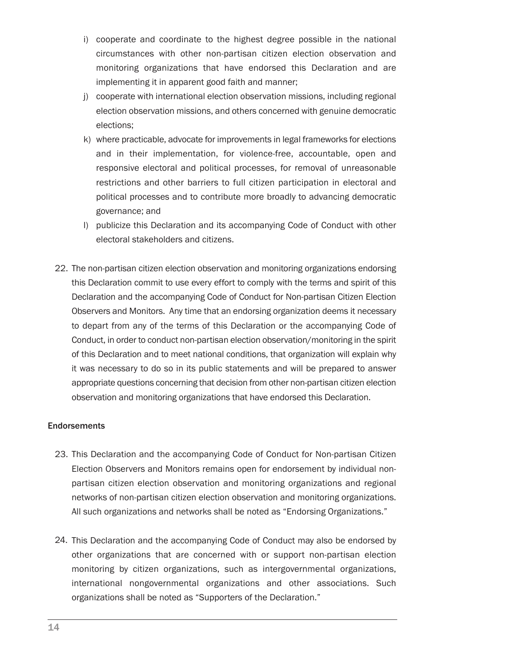- i) cooperate and coordinate to the highest degree possible in the national circumstances with other non-partisan citizen election observation and monitoring organizations that have endorsed this Declaration and are implementing it in apparent good faith and manner;
- cooperate with international election observation missions, including regional j) election observation missions, and others concerned with genuine democratic elections;
- k) where practicable, advocate for improvements in legal frameworks for elections and in their implementation, for violence-free, accountable, open and responsive electoral and political processes, for removal of unreasonable restrictions and other barriers to full citizen participation in electoral and political processes and to contribute more broadly to advancing democratic governance; and
- I) publicize this Declaration and its accompanying Code of Conduct with other electoral stakeholders and citizens.
- 22. The non-partisan citizen election observation and monitoring organizations endorsing this Declaration commit to use every effort to comply with the terms and spirit of this Declaration and the accompanying Code of Conduct for Non-partisan Citizen Election Observers and Monitors. Any time that an endorsing organization deems it necessary to depart from any of the terms of this Declaration or the accompanying Code of Conduct, in order to conduct non-partisan election observation/monitoring in the spirit of this Declaration and to meet national conditions, that organization will explain why it was necessary to do so in its public statements and will be prepared to answer appropriate questions concerning that decision from other non-partisan citizen election observation and monitoring organizations that have endorsed this Declaration.

#### **Endorsements**

- 23. This Declaration and the accompanying Code of Conduct for Non-partisan Citizen Election Observers and Monitors remains open for endorsement by individual nonpartisan citizen election observation and monitoring organizations and regional networks of non-partisan citizen election observation and monitoring organizations. All such organizations and networks shall be noted as "Endorsing Organizations."
- 24. This Declaration and the accompanying Code of Conduct may also be endorsed by other organizations that are concerned with or support non-partisan election monitoring by citizen organizations, such as intergovernmental organizations, international nongovernmental organizations and other associations. Such organizations shall be noted as "Supporters of the Declaration."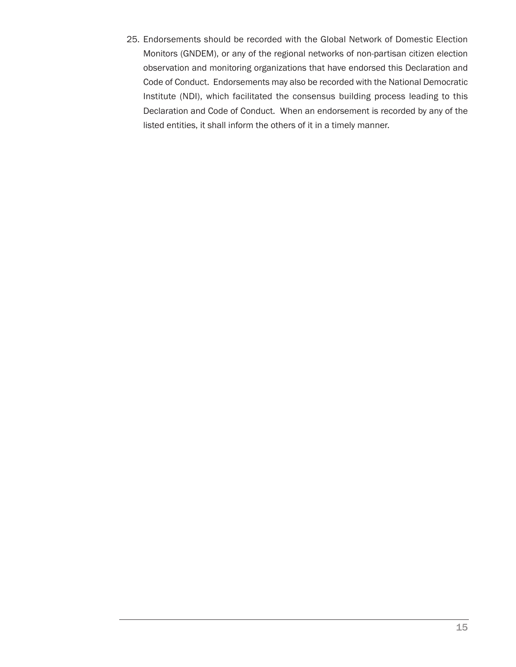25. Endorsements should be recorded with the Global Network of Domestic Election Monitors (GNDEM), or any of the regional networks of non-partisan citizen election observation and monitoring organizations that have endorsed this Declaration and Code of Conduct. Endorsements may also be recorded with the National Democratic Institute (NDI), which facilitated the consensus building process leading to this Declaration and Code of Conduct. When an endorsement is recorded by any of the listed entities, it shall inform the others of it in a timely manner.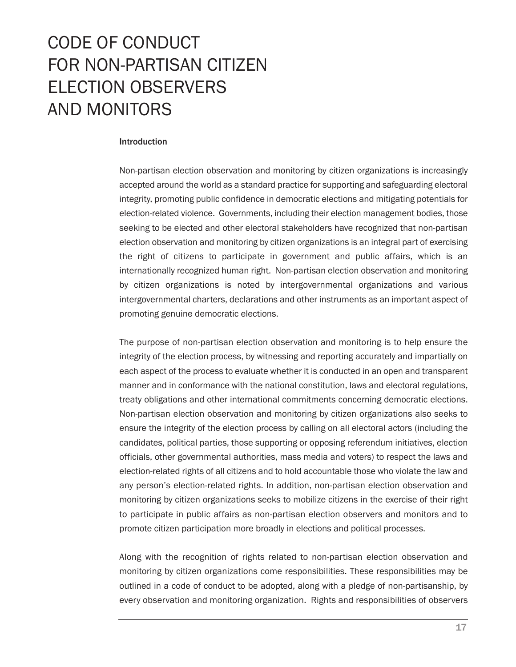# CODE OF CONDUCT FOR NON-PARTISAN CITIZEN ELECTION OBSERVERS AND MONITORS

#### Introduction

Non-partisan election observation and monitoring by citizen organizations is increasingly accepted around the world as a standard practice for supporting and safeguarding electoral integrity, promoting public confidence in democratic elections and mitigating potentials for election-related violence. Governments, including their election management bodies, those seeking to be elected and other electoral stakeholders have recognized that non-partisan election observation and monitoring by citizen organizations is an integral part of exercising the right of citizens to participate in government and public affairs, which is an internationally recognized human right. Non-partisan election observation and monitoring by citizen organizations is noted by intergovernmental organizations and various intergovernmental charters, declarations and other instruments as an important aspect of promoting genuine democratic elections.

The purpose of non-partisan election observation and monitoring is to help ensure the integrity of the election process, by witnessing and reporting accurately and impartially on each aspect of the process to evaluate whether it is conducted in an open and transparent manner and in conformance with the national constitution, laws and electoral regulations, treaty obligations and other international commitments concerning democratic elections. Non-partisan election observation and monitoring by citizen organizations also seeks to ensure the integrity of the election process by calling on all electoral actors (including the candidates, political parties, those supporting or opposing referendum initiatives, election officials, other governmental authorities, mass media and voters) to respect the laws and election-related rights of all citizens and to hold accountable those who violate the law and any person's election-related rights. In addition, non-partisan election observation and monitoring by citizen organizations seeks to mobilize citizens in the exercise of their right to participate in public affairs as non-partisan election observers and monitors and to promote citizen participation more broadly in elections and political processes.

Along with the recognition of rights related to non-partisan election observation and monitoring by citizen organizations come responsibilities. These responsibilities may be outlined in a code of conduct to be adopted, along with a pledge of non-partisanship, by every observation and monitoring organization. Rights and responsibilities of observers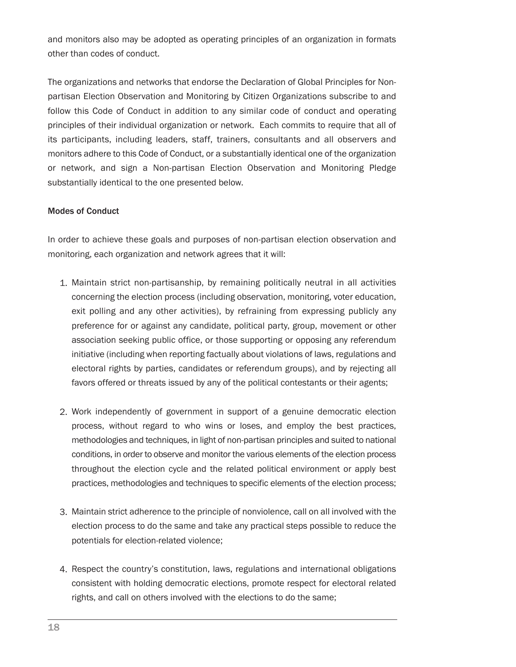and monitors also may be adopted as operating principles of an organization in formats other than codes of conduct.

The organizations and networks that endorse the Declaration of Global Principles for Nonpartisan Election Observation and Monitoring by Citizen Organizations subscribe to and follow this Code of Conduct in addition to any similar code of conduct and operating principles of their individual organization or network. Each commits to require that all of its participants, including leaders, staff, trainers, consultants and all observers and monitors adhere to this Code of Conduct, or a substantially identical one of the organization or network, and sign a Non-partisan Election Observation and Monitoring Pledge substantially identical to the one presented below.

# Modes of Conduct

In order to achieve these goals and purposes of non-partisan election observation and monitoring, each organization and network agrees that it will:

- 1. Maintain strict non-partisanship, by remaining politically neutral in all activities concerning the election process (including observation, monitoring, voter education, exit polling and any other activities), by refraining from expressing publicly any preference for or against any candidate, political party, group, movement or other association seeking public office, or those supporting or opposing any referendum initiative (including when reporting factually about violations of laws, regulations and electoral rights by parties, candidates or referendum groups), and by rejecting all favors offered or threats issued by any of the political contestants or their agents;
- 2. Work independently of government in support of a genuine democratic election process, without regard to who wins or loses, and employ the best practices, methodologies and techniques, in light of non-partisan principles and suited to national conditions, in order to observe and monitor the various elements of the election process throughout the election cycle and the related political environment or apply best practices, methodologies and techniques to specific elements of the election process;
- Maintain strict adherence to the principle of nonviolence, call on all involved with the 3. election process to do the same and take any practical steps possible to reduce the potentials for election-related violence;
- 4. Respect the country's constitution, laws, regulations and international obligations consistent with holding democratic elections, promote respect for electoral related rights, and call on others involved with the elections to do the same;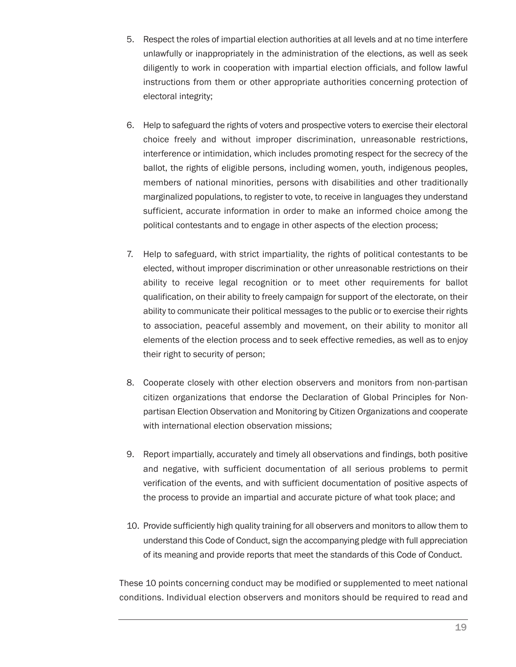- 5. Respect the roles of impartial election authorities at all levels and at no time interfere unlawfully or inappropriately in the administration of the elections, as well as seek diligently to work in cooperation with impartial election officials, and follow lawful instructions from them or other appropriate authorities concerning protection of electoral integrity;
- 6. Help to safeguard the rights of voters and prospective voters to exercise their electoral choice freely and without improper discrimination, unreasonable restrictions, interference or intimidation, which includes promoting respect for the secrecy of the ballot, the rights of eligible persons, including women, youth, indigenous peoples, members of national minorities, persons with disabilities and other traditionally marginalized populations, to register to vote, to receive in languages they understand sufficient, accurate information in order to make an informed choice among the political contestants and to engage in other aspects of the election process;
- 7. Help to safeguard, with strict impartiality, the rights of political contestants to be elected, without improper discrimination or other unreasonable restrictions on their ability to receive legal recognition or to meet other requirements for ballot qualification, on their ability to freely campaign for support of the electorate, on their ability to communicate their political messages to the public or to exercise their rights to association, peaceful assembly and movement, on their ability to monitor all elements of the election process and to seek effective remedies, as well as to enjoy their right to security of person;
- Cooperate closely with other election observers and monitors from non-partisan 8. citizen organizations that endorse the Declaration of Global Principles for Nonpartisan Election Observation and Monitoring by Citizen Organizations and cooperate with international election observation missions;
- 9. Report impartially, accurately and timely all observations and findings, both positive and negative, with sufficient documentation of all serious problems to permit verification of the events, and with sufficient documentation of positive aspects of the process to provide an impartial and accurate picture of what took place; and
- 10. Provide sufficiently high quality training for all observers and monitors to allow them to understand this Code of Conduct, sign the accompanying pledge with full appreciation of its meaning and provide reports that meet the standards of this Code of Conduct.

These 10 points concerning conduct may be modified or supplemented to meet national conditions. Individual election observers and monitors should be required to read and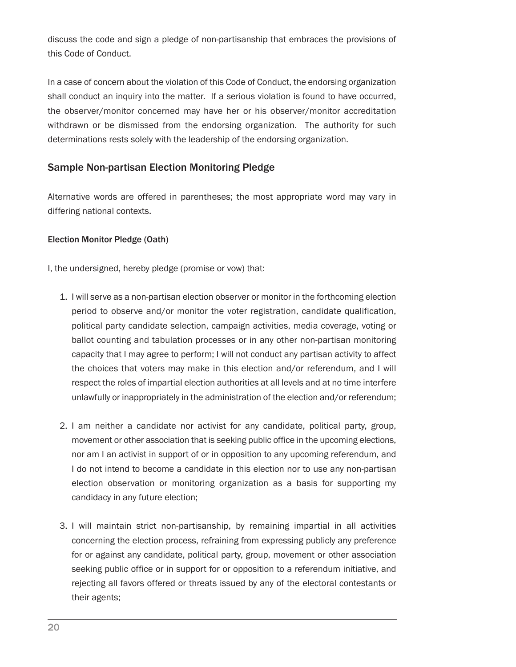discuss the code and sign a pledge of non-partisanship that embraces the provisions of this Code of Conduct.

In a case of concern about the violation of this Code of Conduct, the endorsing organization shall conduct an inquiry into the matter. If a serious violation is found to have occurred, the observer/monitor concerned may have her or his observer/monitor accreditation withdrawn or be dismissed from the endorsing organization. The authority for such determinations rests solely with the leadership of the endorsing organization.

# Sample Non-partisan Election Monitoring Pledge

Alternative words are offered in parentheses; the most appropriate word may vary in differing national contexts.

# Election Monitor Pledge (Oath)

I, the undersigned, hereby pledge (promise or vow) that:

- 1. I will serve as a non-partisan election observer or monitor in the forthcoming election period to observe and/or monitor the voter registration, candidate qualification, political party candidate selection, campaign activities, media coverage, voting or ballot counting and tabulation processes or in any other non-partisan monitoring capacity that I may agree to perform; I will not conduct any partisan activity to affect the choices that voters may make in this election and/or referendum, and I will respect the roles of impartial election authorities at all levels and at no time interfere unlawfully or inappropriately in the administration of the election and/or referendum;
- 2. I am neither a candidate nor activist for any candidate, political party, group, movement or other association that is seeking public office in the upcoming elections, nor am I an activist in support of or in opposition to any upcoming referendum, and I do not intend to become a candidate in this election nor to use any non-partisan election observation or monitoring organization as a basis for supporting my candidacy in any future election;
- 3. I will maintain strict non-partisanship, by remaining impartial in all activities concerning the election process, refraining from expressing publicly any preference for or against any candidate, political party, group, movement or other association seeking public office or in support for or opposition to a referendum initiative, and rejecting all favors offered or threats issued by any of the electoral contestants or their agents;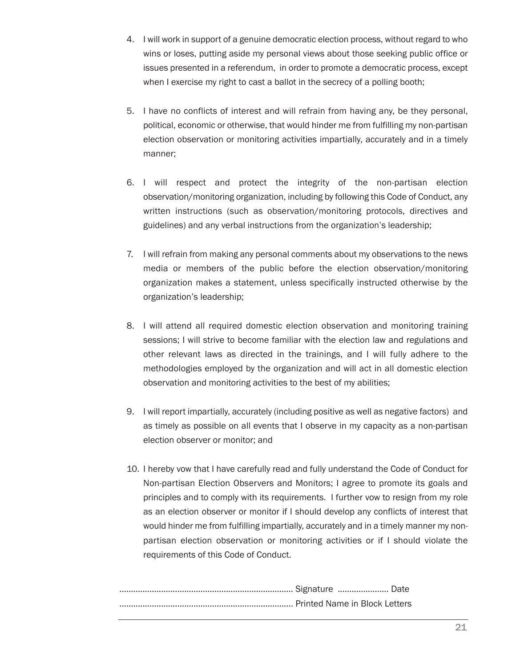- 4. I will work in support of a genuine democratic election process, without regard to who wins or loses, putting aside my personal views about those seeking public office or issues presented in a referendum, in order to promote a democratic process, except when I exercise my right to cast a ballot in the secrecy of a polling booth;
- 5. I have no conflicts of interest and will refrain from having any, be they personal, political, economic or otherwise, that would hinder me from fulfilling my non-partisan election observation or monitoring activities impartially, accurately and in a timely manner;
- 6. I will respect and protect the integrity of the non-partisan election observation/monitoring organization, including by following this Code of Conduct, any written instructions (such as observation/monitoring protocols, directives and guidelines) and any verbal instructions from the organization's leadership;
- 7. I will refrain from making any personal comments about my observations to the news media or members of the public before the election observation/monitoring organization makes a statement, unless specifically instructed otherwise by the organization's leadership;
- 8. I will attend all required domestic election observation and monitoring training sessions; I will strive to become familiar with the election law and regulations and other relevant laws as directed in the trainings, and I will fully adhere to the methodologies employed by the organization and will act in all domestic election observation and monitoring activities to the best of my abilities;
- 9. I will report impartially, accurately (including positive as well as negative factors) and as timely as possible on all events that I observe in my capacity as a non-partisan election observer or monitor; and
- 10. I hereby vow that I have carefully read and fully understand the Code of Conduct for Non-partisan Election Observers and Monitors; I agree to promote its goals and principles and to comply with its requirements. I further vow to resign from my role as an election observer or monitor if I should develop any conflicts of interest that would hinder me from fulfilling impartially, accurately and in a timely manner my nonpartisan election observation or monitoring activities or if I should violate the requirements of this Code of Conduct.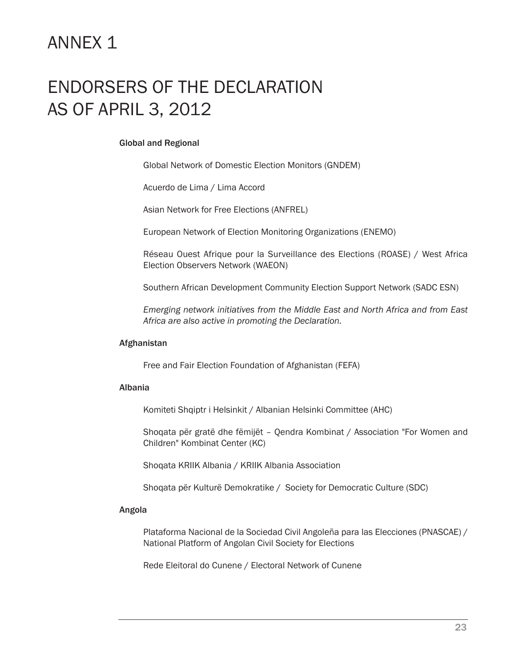# ENDORSERS OF THE DECLARATION AS OF APRIL 3, 2012

#### Global and Regional

Global Network of Domestic Election Monitors (GNDEM)

Acuerdo de Lima / Lima Accord

Asian Network for Free Elections (ANFREL)

European Network of Election Monitoring Organizations (ENEMO)

Réseau Ouest Afrique pour la Surveillance des Elections (ROASE) / West Africa Election Observers Network (WAEON)

Southern African Development Community Election Support Network (SADC ESN)

*Emerging network initiatives from the Middle East and North Africa and from East Africa are also active in promoting the Declaration.*

#### Afghanistan

Free and Fair Election Foundation of Afghanistan (FEFA)

#### Albania

Komiteti Shqiptr i Helsinkit / Albanian Helsinki Committee (AHC)

Shoqata për gratë dhe fëmijët – Qendra Kombinat / Association "For Women and Children" Kombinat Center (KC)

Shoqata KRIIK Albania / KRIIK Albania Association

Shoqata për Kulturë Demokratike / Society for Democratic Culture (SDC)

#### Angola

Plataforma Nacional de la Sociedad Civil Angoleña para las Elecciones (PNASCAE) / National Platform of Angolan Civil Society for Elections

Rede Eleitoral do Cunene / Electoral Network of Cunene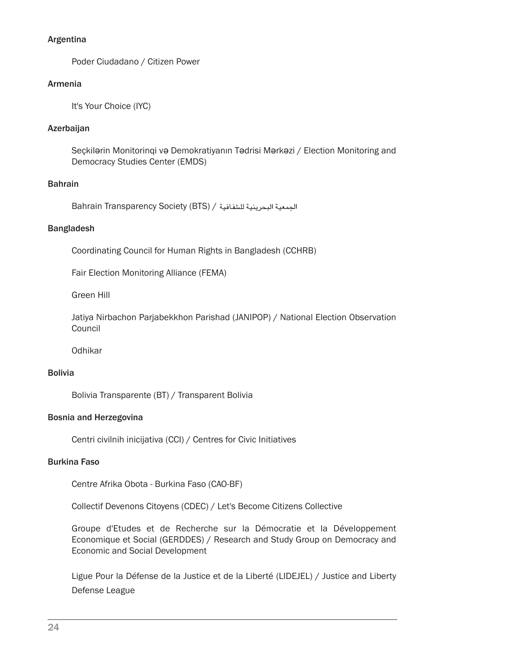# Argentina

Poder Ciudadano / Citizen Power

# **Armenia**

It's Your Choice (IYC)

#### Azerbaijan

Seckilarin Monitoringi va Demokratiyanın Tadrisi Markazi / Election Monitoring and Democracy Studies Center (EMDS)

# **Bahrain**

```
Bahrain Transparency Society (BTS) / الجمعية البحرينية للشفافية / Bahrain Transparency Society
```
# **Bangladesh**

Coordinating Council for Human Rights in Bangladesh (CCHRB)

Fair Election Monitoring Alliance (FEMA)

**Green Hill** 

Jatiya Nirbachon Parjabekkhon Parishad (JANIPOP) / National Election Observation Council

Odhikar

#### **Bolivia**

Bolivia Transparente (BT) / Transparent Bolivia

# **Bosnia and Herzegovina**

Centri civilnih inicijativa (CCI) / Centres for Civic Initiatives

#### **Burkina Faso**

Centre Afrika Obota - Burkina Faso (CAO-BF)

Collectif Devenons Citoyens (CDEC) / Let's Become Citizens Collective

Groupe d'Etudes et de Recherche sur la Démocratie et la Développement Economique et Social (GERDDES) / Research and Study Group on Democracy and Economic and Social Development

Ligue Pour la Défense de la Justice et de la Liberté (LIDEJEL) / Justice and Liberty Defense League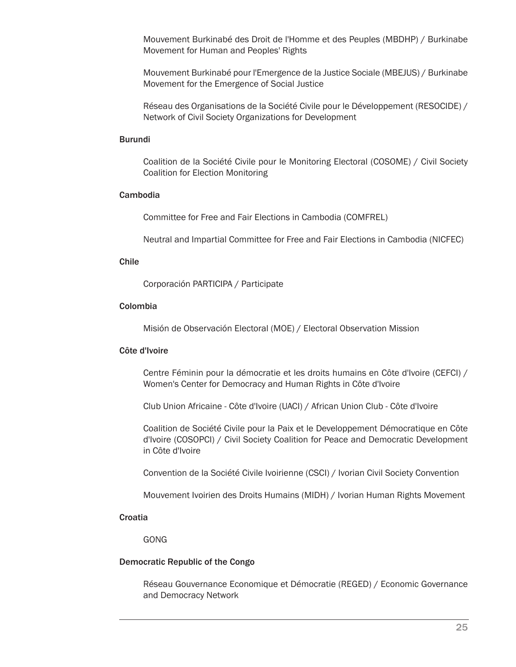Mouvement Burkinabé des Droit de l'Homme et des Peuples (MBDHP) / Burkinabe Movement for Human and Peoples' Rights

Mouvement Burkinabé pour l'Emergence de la Justice Sociale (MBEJUS) / Burkinabe Movement for the Emergence of Social Justice

Réseau des Organisations de la Société Civile pour le Développement (RESOCIDE) / Network of Civil Society Organizations for Development

#### Burundi

Coalition de la Société Civile pour le Monitoring Electoral (COSOME) / Civil Society Coalition for Election Monitoring

#### Cambodia

Committee for Free and Fair Elections in Cambodia (COMFREL)

Neutral and Impartial Committee for Free and Fair Elections in Cambodia (NICFEC)

#### Chile

Corporación PARTICIPA / Participate

#### Colombia

Misión de Observación Electoral (MOE) / Electoral Observation Mission

#### Côte d'Ivoire

Centre Féminin pour la démocratie et les droits humains en Côte d'Ivoire (CEFCI) / Women's Center for Democracy and Human Rights in Côte d'Ivoire

Club Union Africaine - Côte d'Ivoire (UACI) / African Union Club - Côte d'Ivoire

Coalition de Société Civile pour la Paix et le Developpement Démocratique en Côte d'Ivoire (COSOPCI) / Civil Society Coalition for Peace and Democratic Development in Côte d'Ivoire

Convention de la Société Civile Ivoirienne (CSCI) / Ivorian Civil Society Convention

Mouvement Ivoirien des Droits Humains (MIDH) / Ivorian Human Rights Movement

#### Croatia

GONG

#### Democratic Republic of the Congo

Réseau Gouvernance Economique et Démocratie (REGED) / Economic Governance and Democracy Network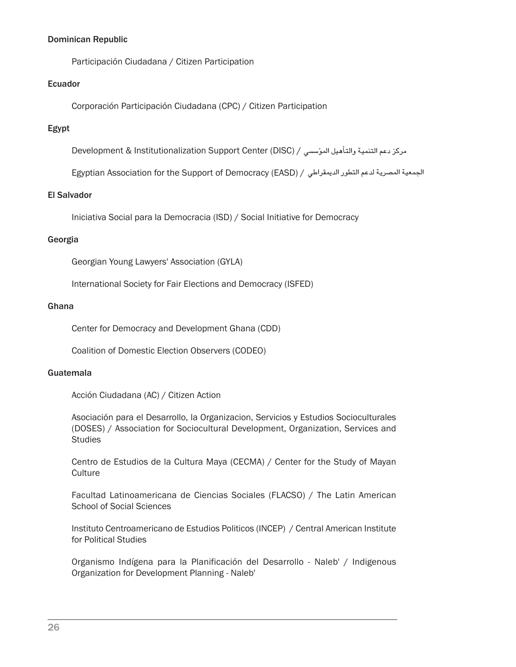#### **Dominican Republic**

Participación Ciudadana / Citizen Participation

#### Ecuador

Corporación Participación Ciudadana (CPC) / Citizen Participation

# Egypt

مركز دعم التنمية والتأهيل المؤسسي / Development & Institutionalization Support Center (DISC)

الجمعية المصرية لدعم التطور الديمقراطي / Egyptian Association for the Support of Democracy (EASD)

#### **El Salvador**

Iniciativa Social para la Democracia (ISD) / Social Initiative for Democracy

#### Georgia

Georgian Young Lawyers' Association (GYLA)

International Society for Fair Elections and Democracy (ISFED)

#### Ghana

Center for Democracy and Development Ghana (CDD)

Coalition of Domestic Election Observers (CODEO)

#### Guatemala

Acción Ciudadana (AC) / Citizen Action

Asociación para el Desarrollo, la Organizacion, Servicios y Estudios Socioculturales (DOSES) / Association for Sociocultural Development, Organization, Services and **Studies** 

Centro de Estudios de la Cultura Maya (CECMA) / Center for the Study of Mayan Culture

Facultad Latinoamericana de Ciencias Sociales (FLACSO) / The Latin American **School of Social Sciences** 

Instituto Centroamericano de Estudios Politicos (INCEP) / Central American Institute for Political Studies

Organismo Indígena para la Planificación del Desarrollo - Naleb' / Indigenous Organization for Development Planning - Naleb'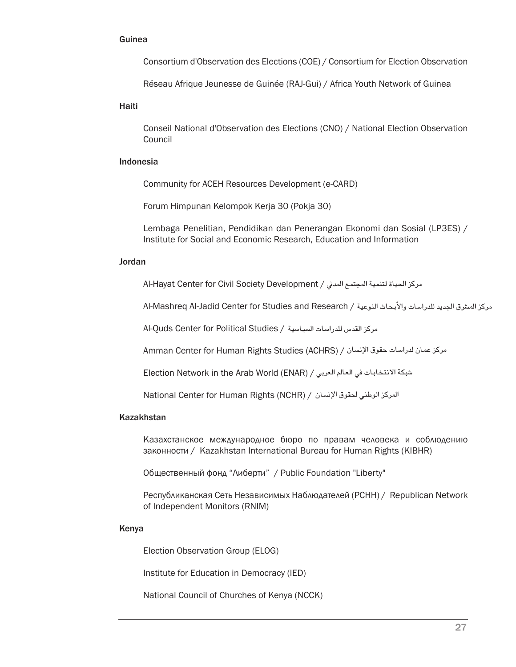#### Guinea

Consortium d'Observation des Elections (COE) / Consortium for Election Observation

Réseau Afrique Jeunesse de Guinée (RAJ-Gui) / Africa Youth Network of Guinea

#### Haiti

Conseil National d'Observation des Elections (CNO) / National Election Observation Council

#### Indonesia

Community for ACEH Resources Development (e-CARD)

Forum Himpunan Kelompok Kerja 30 (Pokja 30)

Lembaga Penelitian, Pendidikan dan Penerangan Ekonomi dan Sosial (LP3ES) / Institute for Social and Economic Research, Education and Information

#### Jordan

مركز الحياة لتنمية المجتمع المدنى / Al-Hayat Center for Civil Society Development

مركز المشرق الحديد للدراسات والأبحاث النوعية / Al-Mashreq Al-Jadid Center for Studies and Research

مركز القدس للدراسات السياسية / Al-Quds Center for Political Studies

مركز عمان لدراسات حقوق الإنسان / Amman Center for Human Rights Studies (ACHRS)

شبكة الانتخابات في العالم العربي / Election Network in the Arab World (ENAR)

المركز الوطني لحقوق الإنسان / National Center for Human Rights (NCHR)

#### Kazakhstan

Казахстанское международное бюро по правам человека и соблюдению законности / Kazakhstan International Bureau for Human Rights (KIBHR)

Общественный фонд "Либерти" / Public Foundation "Liberty"

Республиканская Сеть Независимых Наблюдателей (РСНН) / Republican Network of Independent Monitors (RNIM)

#### Kenya

Election Observation Group (ELOG)

Institute for Education in Democracy (IED)

National Council of Churches of Kenya (NCCK)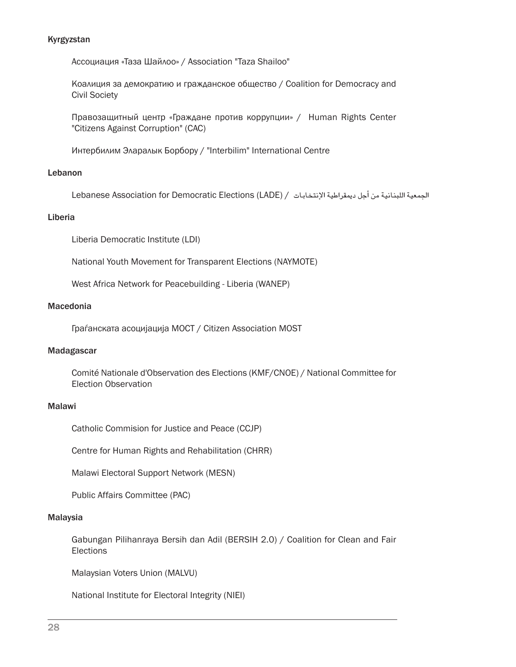#### Kyrgyzstan

Ассоциация «Таза Шайлоо» / Association "Taza Shailoo"

Коалиция за демократию и гражданское общество / Coalition for Democracy and **Civil Society** 

Правозащитный центр «Граждане против коррупции» / Human Rights Center "Citizens Against Corruption" (CAC)

Интербилим Эларалык Борбору / "Interbilim" International Centre

#### Lebanon

الجمعية اللبنانية من أجل ديمقراطية الإنتخابات / Lebanese Association for Democratic Elections (LADE)

#### Liberia

Liberia Democratic Institute (LDI)

National Youth Movement for Transparent Elections (NAYMOTE)

West Africa Network for Peacebuilding - Liberia (WANEP)

# Macedonia

Граѓанската асоцијација МОСТ / Citizen Association MOST

#### Madagascar

Comité Nationale d'Observation des Elections (KMF/CNOE) / National Committee for **Election Observation** 

#### **Malawi**

Catholic Commision for Justice and Peace (CCJP)

Centre for Human Rights and Rehabilitation (CHRR)

Malawi Electoral Support Network (MESN)

Public Affairs Committee (PAC)

#### **Malaysia**

Gabungan Pilihanraya Bersih dan Adil (BERSIH 2.0) / Coalition for Clean and Fair Elections

Malaysian Voters Union (MALVU)

National Institute for Electoral Integrity (NIEI)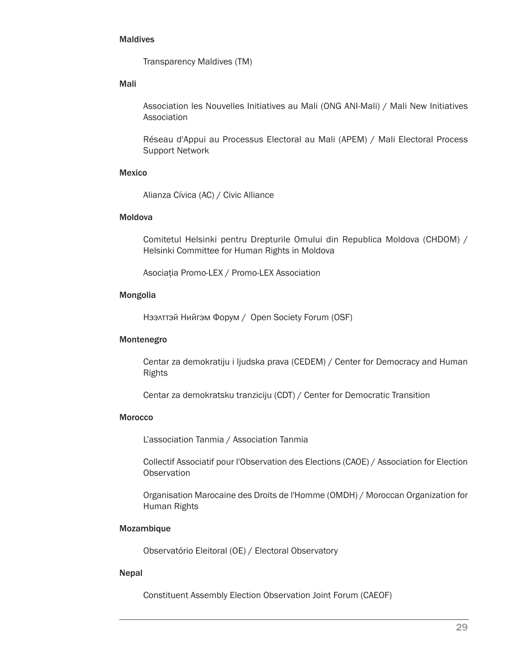#### Maldives

Transparency Maldives (TM)

# Mali

Association les Nouvelles Initiatives au Mali (ONG ANI-Mali) / Mali New Initiatives Association

Réseau d'Appui au Processus Electoral au Mali (APEM) / Mali Electoral Process Support Network

#### Mexico

Alianza Cívica (AC) / Civic Alliance

#### Moldova

Comitetul Helsinki pentru Drepturile Omului din Republica Moldova (CHDOM) / Helsinki Committee for Human Rights in Moldova

Asociația Promo-LEX / Promo-LEX Association

#### Mongolia

Нээлттэй Нийгэм Форум / Open Society Forum (OSF)

#### Montenegro

Centar za demokratiju i ljudska prava (CEDEM) / Center for Democracy and Human Rights

Centar za demokratsku tranziciju (CDT) / Center for Democratic Transition

#### Morocco

L'association Tanmia / Association Tanmia

Collectif Associatif pour l'Observation des Elections (CAOE) / Association for Election **Observation** 

Organisation Marocaine des Droits de l'Homme (OMDH) / Moroccan Organization for Human Rights

#### Mozambique

Observatório Eleitoral (OE) / Electoral Observatory

#### Nepal

Constituent Assembly Election Observation Joint Forum (CAEOF)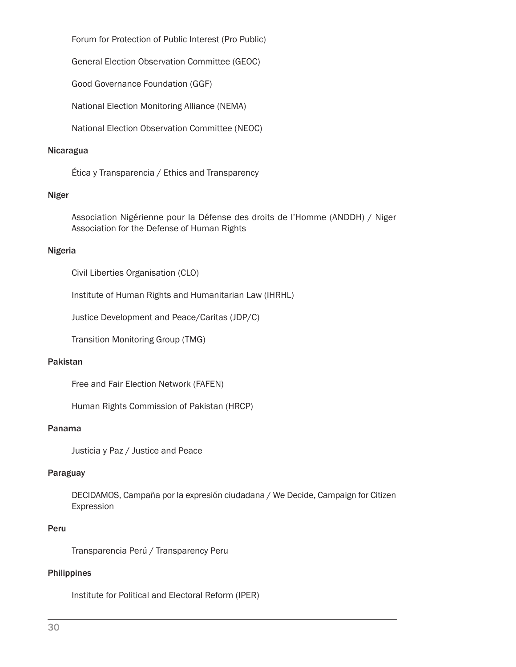Forum for Protection of Public Interest (Pro Public)

General Election Observation Committee (GEOC)

Good Governance Foundation (GGF)

National Election Monitoring Alliance (NEMA)

National Election Observation Committee (NEOC)

#### Nicaragua

Ética y Transparencia / Ethics and Transparency

# Niger

Association Nigérienne pour la Défense des droits de l'Homme (ANDDH) / Niger Association for the Defense of Human Rights

# Nigeria

Civil Liberties Organisation (CLO)

Institute of Human Rights and Humanitarian Law (IHRHL)

Justice Development and Peace/Caritas (JDP/C)

Transition Monitoring Group (TMG)

# Pakistan

Free and Fair Election Network (FAFEN)

Human Rights Commission of Pakistan (HRCP)

#### Panama

Justicia y Paz / Justice and Peace

#### Paraguay

DECIDAMOS, Campaña por la expresión ciudadana / We Decide, Campaign for Citizen Expression

# Peru

Transparencia Perú / Transparency Peru

#### **Philippines**

Institute for Political and Electoral Reform (IPER)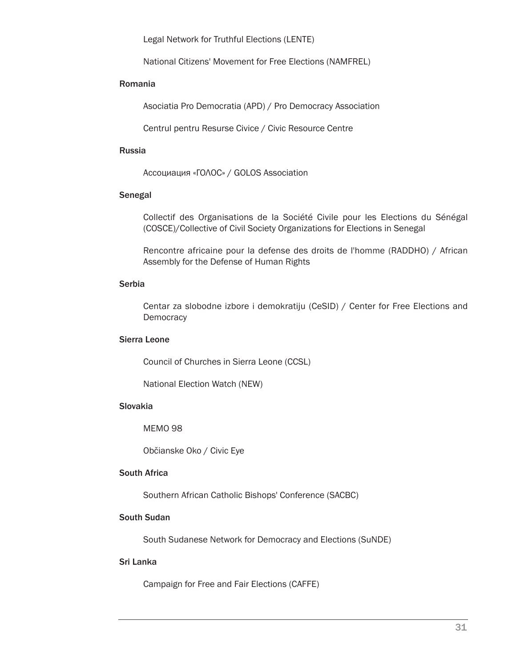Legal Network for Truthful Elections (LENTE)

National Citizens' Movement for Free Elections (NAMFREL)

# Romania

Asociatia Pro Democratia (APD) / Pro Democracy Association

Centrul pentru Resurse Civice / Civic Resource Centre

#### Russia

Ассоциация «ГОЛОС» / GOLOS Association

#### Senegal

Collectif des Organisations de la Société Civile pour les Elections du Sénégal (COSCE)/Collective of Civil Society Organizations for Elections in Senegal

Rencontre africaine pour la defense des droits de l'homme (RADDHO) / African Assembly for the Defense of Human Rights

#### **Serbia**

Centar za slobodne izbore i demokratiju (CeSID) / Center for Free Elections and Democracy

#### Sierra Leone

Council of Churches in Sierra Leone (CCSL)

National Election Watch (NEW)

#### Slovakia

MEMO 98

Občianske Oko / Civic Eye

# South Africa

Southern African Catholic Bishops' Conference (SACBC)

#### South Sudan

South Sudanese Network for Democracy and Elections (SuNDE)

#### Sri Lanka

Campaign for Free and Fair Elections (CAFFE)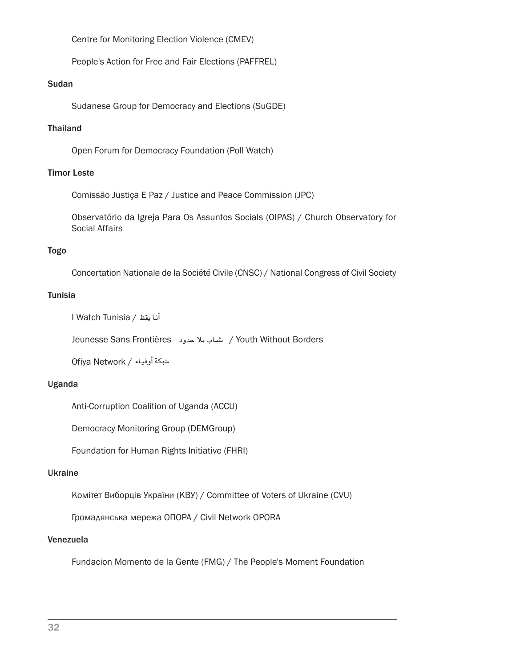Centre for Monitoring Election Violence (CMEV)

People's Action for Free and Fair Elections (PAFFREL)

# Sudan

Sudanese Group for Democracy and Elections (SuGDE)

#### **Thailand**

Open Forum for Democracy Foundation (Poll Watch)

# **Timor Leste**

Comissão Justiça E Paz / Justice and Peace Commission (JPC)

Observatório da Igreja Para Os Assuntos Socials (OIPAS) / Church Observatory for **Social Affairs** 

# **Togo**

Concertation Nationale de la Société Civile (CNSC) / National Congress of Civil Society

# **Tunisia**

l Watch Tunisia / أنا يقظ

Jeunesse Sans Frontières / شباب بلا حدود Jeunesse Sans Frontières

Ofiya Network / شبكة أوفياء

#### Uganda

Anti-Corruption Coalition of Uganda (ACCU)

Democracy Monitoring Group (DEMGroup)

Foundation for Human Rights Initiative (FHRI)

#### **Ukraine**

Комітет Виборців України (KBY) / Committee of Voters of Ukraine (CVU)

Громадянська мережа ОПОРА / Civil Network OPORA

# Venezuela

Fundacion Momento de la Gente (FMG) / The People's Moment Foundation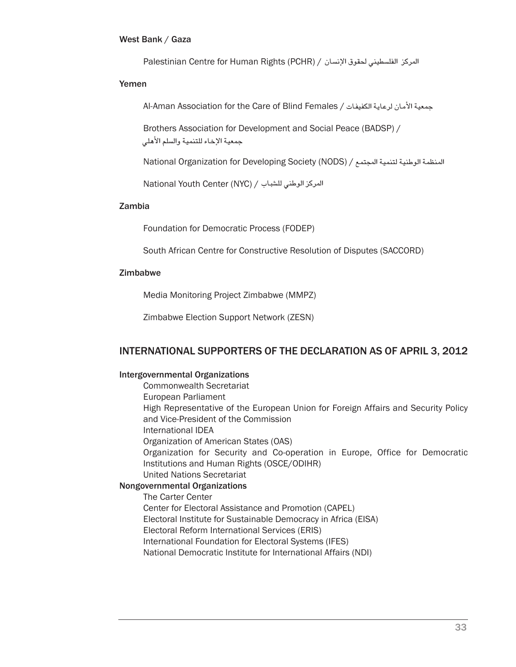#### West Bank / Gaza

Palestinian Centre for Human Rights (PCHR) / المركز الفلسطيني لحقوق الإنسان /

Yemen

جمعية الأمان لرعاية الكفيفات / Al-Aman Association for the Care of Blind Females

Brothers Association for Development and Social Peace (BADSP) / جمعية الإخاء للتنمية والسلم الأهلي

المنظمة الوطنية لتنمية المجتمع / National Organization for Developing Society (NODS)

National Youth Center (NYC) / المركز الوطني للشباب /

#### Zambia

Foundation for Democratic Process (FODEP)

South African Centre for Constructive Resolution of Disputes (SACCORD)

#### Zimbabwe

Media Monitoring Project Zimbabwe (MMPZ)

Zimbabwe Election Support Network (ZESN)

#### INTERNATIONAL SUPPORTERS OF THE DECLARATION AS OF APRIL 3, 2012

#### **Intergovernmental Organizations**

**Commonwealth Secretariat** European Parliament High Representative of the European Union for Foreign Affairs and Security Policy and Vice-President of the Commission International IDEA Organization of American States (OAS) Organization for Security and Co-operation in Europe, Office for Democratic Institutions and Human Rights (OSCE/ODIHR) **United Nations Secretariat Nongovernmental Organizations** The Carter Center

Center for Electoral Assistance and Promotion (CAPEL) Electoral Institute for Sustainable Democracy in Africa (EISA) Electoral Reform International Services (ERIS) International Foundation for Electoral Systems (IFES)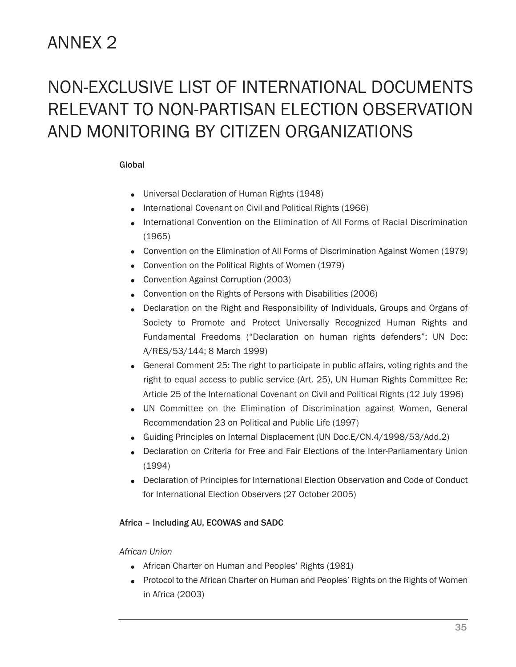# ANNEX 2

# NON-EXCLUSIVE LIST OF INTERNATIONAL DOCUMENTS RELEVANT TO NON-PARTISAN ELECTION OBSERVATION AND MONITORING BY CITIZEN ORGANIZATIONS

# Global

- Universal Declaration of Human Rights (1948)
- International Covenant on Civil and Political Rights (1966)
- International Convention on the Elimination of All Forms of Racial Discrimination (1965)
- Convention on the Elimination of All Forms of Discrimination Against Women (1979)
- Convention on the Political Rights of Women (1979)
- Convention Against Corruption (2003)
- Convention on the Rights of Persons with Disabilities (2006)
- Declaration on the Right and Responsibility of Individuals, Groups and Organs of Society to Promote and Protect Universally Recognized Human Rights and Fundamental Freedoms ("Declaration on human rights defenders"; UN Doc: A/RES/53/144; 8 March 1999)
- General Comment 25: The right to participate in public affairs, voting rights and the right to equal access to public service (Art. 25), UN Human Rights Committee Re: Article 25 of the International Covenant on Civil and Political Rights (12 July 1996)
- UN Committee on the Elimination of Discrimination against Women, General Recommendation 23 on Political and Public Life (1997)
- Guiding Principles on Internal Displacement (UN Doc.E/CN.4/1998/53/Add.2)
- Declaration on Criteria for Free and Fair Elections of the Inter-Parliamentary Union (1994)
- Declaration of Principles for International Election Observation and Code of Conduct for International Election Observers (27 October 2005)

# Africa – Including AU, ECOWAS and SADC

# *African Union*

- African Charter on Human and Peoples' Rights (1981)
- Protocol to the African Charter on Human and Peoples' Rights on the Rights of Women in Africa (2003)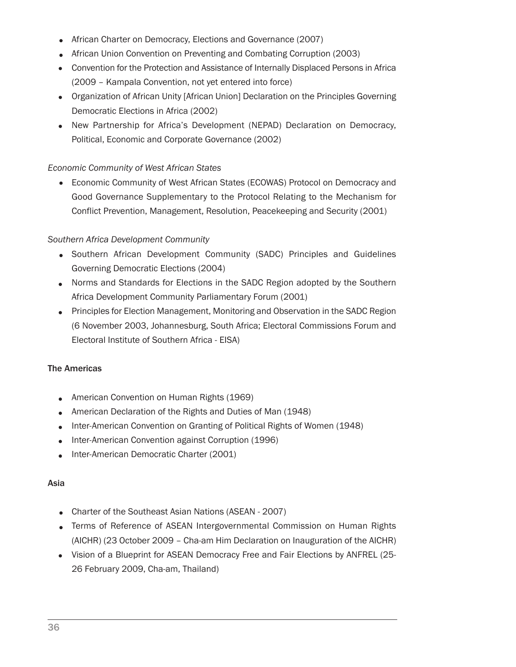- African Charter on Democracy, Elections and Governance (2007)
- African Union Convention on Preventing and Combating Corruption (2003)
- Convention for the Protection and Assistance of Internally Displaced Persons in Africa (2009 – Kampala Convention, not yet entered into force)
- Organization of African Unity [African Union] Declaration on the Principles Governing Democratic Elections in Africa (2002)
- New Partnership for Africa's Development (NEPAD) Declaration on Democracy, Political, Economic and Corporate Governance (2002)

# *Economic Community of West African States*

Economic Community of West African States (ECOWAS) Protocol on Democracy and Good Governance Supplementary to the Protocol Relating to the Mechanism for Conflict Prevention, Management, Resolution, Peacekeeping and Security (2001)

# *Southern Africa Development Community*

- Southern African Development Community (SADC) Principles and Guidelines Governing Democratic Elections (2004)
- Norms and Standards for Elections in the SADC Region adopted by the Southern Africa Development Community Parliamentary Forum (2001)
- Principles for Election Management, Monitoring and Observation in the SADC Region (6 November 2003, Johannesburg, South Africa; Electoral Commissions Forum and Electoral Institute of Southern Africa - EISA)

# The Americas

- American Convention on Human Rights (1969)
- American Declaration of the Rights and Duties of Man (1948)
- Inter-American Convention on Granting of Political Rights of Women (1948)
- Inter-American Convention against Corruption (1996)  $\bullet$
- Inter-American Democratic Charter (2001)

#### Asia

- Charter of the Southeast Asian Nations (ASEAN 2007)
- Terms of Reference of ASEAN Intergovernmental Commission on Human Rights (AICHR) (23 October 2009 – Cha-am Him Declaration on Inauguration of the AICHR)
- Vision of a Blueprint for ASEAN Democracy Free and Fair Elections by ANFREL (25-26 February 2009, Cha-am, Thailand)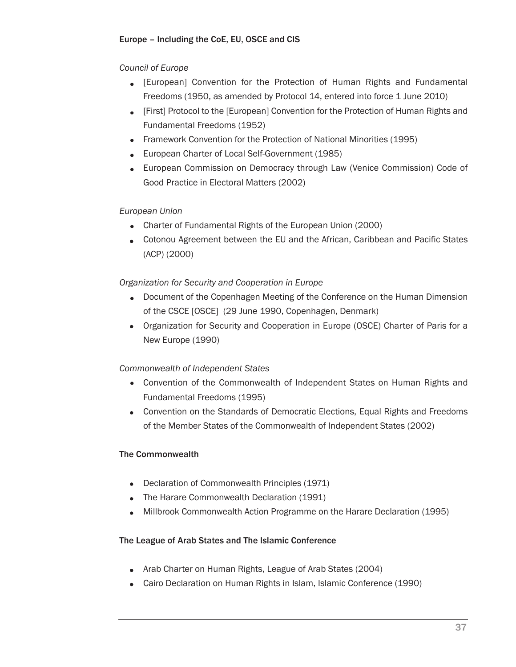# *Council of Europe*

- [European] Convention for the Protection of Human Rights and Fundamental Freedoms (1950, as amended by Protocol 14, entered into force 1 June 2010)
- [First] Protocol to the [European] Convention for the Protection of Human Rights and Fundamental Freedoms (1952)
- Framework Convention for the Protection of National Minorities (1995)
- European Charter of Local Self-Government (1985)
- European Commission on Democracy through Law (Venice Commission) Code of Good Practice in Electoral Matters (2002)

# *European Union*

- Charter of Fundamental Rights of the European Union (2000)
- Cotonou Agreement between the EU and the African, Caribbean and Pacific States (ACP) (2000)

# *Organization for Security and Cooperation in Europe*

- Document of the Copenhagen Meeting of the Conference on the Human Dimension of the CSCE [OSCE] (29 June 1990, Copenhagen, Denmark)
- Organization for Security and Cooperation in Europe (OSCE) Charter of Paris for a New Europe (1990)

# *Commonwealth of Independent States*

- Convention of the Commonwealth of Independent States on Human Rights and Fundamental Freedoms (1995)
- Convention on the Standards of Democratic Elections, Equal Rights and Freedoms of the Member States of the Commonwealth of Independent States (2002)

# The Commonwealth

- Declaration of Commonwealth Principles (1971)
- The Harare Commonwealth Declaration (1991)
- Millbrook Commonwealth Action Programme on the Harare Declaration (1995)

# The League of Arab States and The Islamic Conference

- Arab Charter on Human Rights, League of Arab States (2004)
- Cairo Declaration on Human Rights in Islam, Islamic Conference (1990)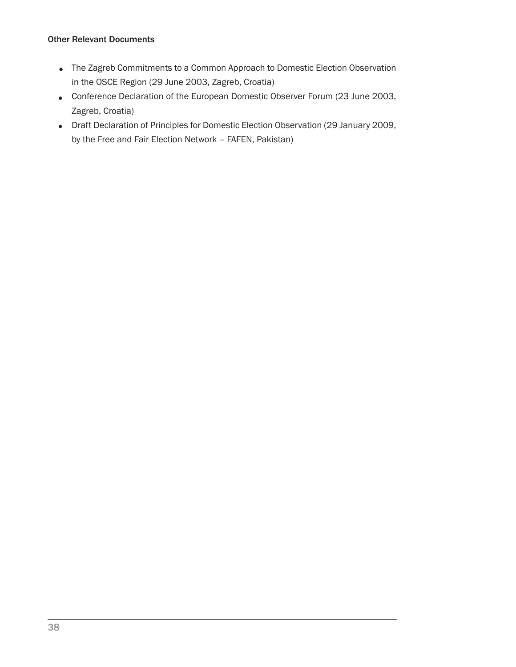# Other Relevant Documents

- The Zagreb Commitments to a Common Approach to Domestic Election Observation in the OSCE Region (29 June 2003, Zagreb, Croatia)
- Conference Declaration of the European Domestic Observer Forum (23 June 2003, Zagreb, Croatia)
- Draft Declaration of Principles for Domestic Election Observation (29 January 2009, by the Free and Fair Election Network – FAFEN, Pakistan)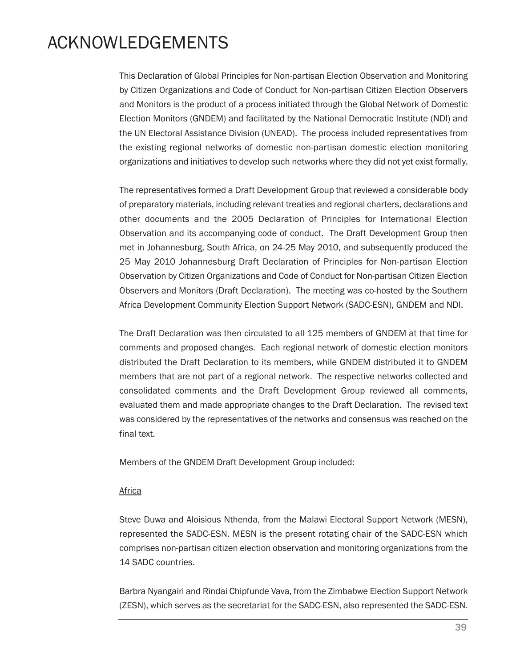# ACKNOWLEDGEMENTS

This Declaration of Global Principles for Non-partisan Election Observation and Monitoring by Citizen Organizations and Code of Conduct for Non-partisan Citizen Election Observers and Monitors is the product of a process initiated through the Global Network of Domestic Election Monitors (GNDEM) and facilitated by the National Democratic Institute (NDI) and the UN Electoral Assistance Division (UNEAD). The process included representatives from the existing regional networks of domestic non-partisan domestic election monitoring organizations and initiatives to develop such networks where they did not yet exist formally.

The representatives formed a Draft Development Group that reviewed a considerable body of preparatory materials, including relevant treaties and regional charters, declarations and other documents and the 2005 Declaration of Principles for International Election Observation and its accompanying code of conduct. The Draft Development Group then met in Johannesburg, South Africa, on 24-25 May 2010, and subsequently produced the 25 May 2010 Johannesburg Draft Declaration of Principles for Non-partisan Election Observation by Citizen Organizations and Code of Conduct for Non-partisan Citizen Election Observers and Monitors (Draft Declaration). The meeting was co-hosted by the Southern Africa Development Community Election Support Network (SADC-ESN), GNDEM and NDI.

The Draft Declaration was then circulated to all 125 members of GNDEM at that time for comments and proposed changes. Each regional network of domestic election monitors distributed the Draft Declaration to its members, while GNDEM distributed it to GNDEM members that are not part of a regional network. The respective networks collected and consolidated comments and the Draft Development Group reviewed all comments, evaluated them and made appropriate changes to the Draft Declaration. The revised text was considered by the representatives of the networks and consensus was reached on the final text.

Members of the GNDEM Draft Development Group included:

#### Africa

Steve Duwa and Aloisious Nthenda, from the Malawi Electoral Support Network (MESN), represented the SADC-ESN. MESN is the present rotating chair of the SADC-ESN which comprises non-partisan citizen election observation and monitoring organizations from the 14 SADC countries.

Barbra Nyangairi and Rindai Chipfunde Vava, from the Zimbabwe Election Support Network (ZESN), which serves as the secretariat for the SADC-ESN, also represented the SADC-ESN.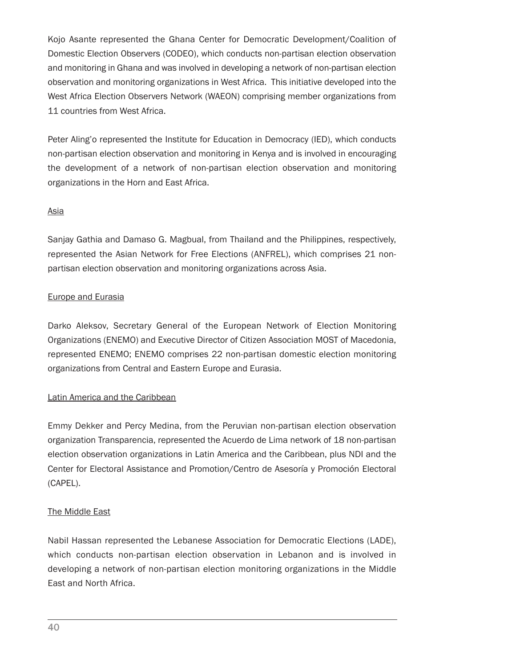Kojo Asante represented the Ghana Center for Democratic Development/Coalition of Domestic Election Observers (CODEO), which conducts non-partisan election observation and monitoring in Ghana and was involved in developing a network of non-partisan election observation and monitoring organizations in West Africa. This initiative developed into the West Africa Election Observers Network (WAEON) comprising member organizations from 11 countries from West Africa.

Peter Aling'o represented the Institute for Education in Democracy (IED), which conducts non-partisan election observation and monitoring in Kenya and is involved in encouraging the development of a network of non-partisan election observation and monitoring organizations in the Horn and East Africa.

# Asia

Sanjay Gathia and Damaso G. Magbual, from Thailand and the Philippines, respectively, represented the Asian Network for Free Elections (ANFREL), which comprises 21 nonpartisan election observation and monitoring organizations across Asia.

# Europe and Eurasia

Darko Aleksov, Secretary General of the European Network of Election Monitoring Organizations (ENEMO) and Executive Director of Citizen Association MOST of Macedonia, represented ENEMO; ENEMO comprises 22 non-partisan domestic election monitoring organizations from Central and Eastern Europe and Eurasia.

# Latin America and the Caribbean

Emmy Dekker and Percy Medina, from the Peruvian non-partisan election observation organization Transparencia, represented the Acuerdo de Lima network of 18 non-partisan election observation organizations in Latin America and the Caribbean, plus NDI and the Center for Electoral Assistance and Promotion/Centro de Asesoría y Promoción Electoral (CAPEL).

# The Middle East

Nabil Hassan represented the Lebanese Association for Democratic Elections (LADE), which conducts non-partisan election observation in Lebanon and is involved in developing a network of non-partisan election monitoring organizations in the Middle East and North Africa.